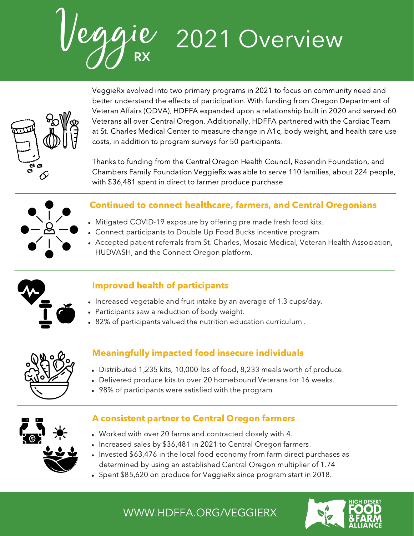Veggie **RX** 2021 Overview



VeggieRx evolved into two primary programs in 2021 to focus on community need and better understand the effects of participation. With funding from Oregon Department of Veteran Affairs (ODVA), HDFFA expanded upon a relationship built in 2020 and served 60 Veterans all over Central Oregon. Additionally, HDFFA partnered with the Cardiac Team at St. Charles Medical Center to measure change in A1c, body weight, and health care use costs, in addition to program surveys for 50 participants.

Thanks to funding from the Central Oregon Health Council, Rosendin Foundation, and Chambers Family Foundation VeggieRx was able to serve 110 families, about 224 people, with \$36,481 spent in direct to farmer produce purchase.



### Continued to connect healthcare, farmers, and Central Oregonians

- Mitigated COVID-19 exposure by offering pre made fresh food kits.
- Connect participants to Double Up Food Bucks incentive program.
- Accepted patient referrals from St. Charles, Mosaic Medical, Veteran Health Association, HUDVASH, and the Connect Oregon platform.



# Improved health of participants

- Increased vegetable and fruit intake by an average of 1.3 cups/day.
- Participants saw a reduction of body weight.
- 82% of participants valued the nutrition education curriculum .



# Meaningfully impacted food insecure individuals

- Distributed 1,235 kits, 10,000 lbs of food, 8,233 meals worth of produce.
- Delivered produce kits to over 20 homebound Veterans for 16 weeks.
- 98% of participants were satisfied with the program.



# A consistent partner to Central Oregon farmers

- Worked with over 20 farms and contracted closely with 4.
- Increased sales by \$36,481 in 2021 to Central Oregon farmers.
- Invested \$63,476 in the local food economy from farm direct purchases as determined by using an established Central Oregon multiplier of 1.74
- Spent \$85,620 on produce for VeggieRx since program start in 2018.

WWW.HDFFA.ORG/VEGGIERX

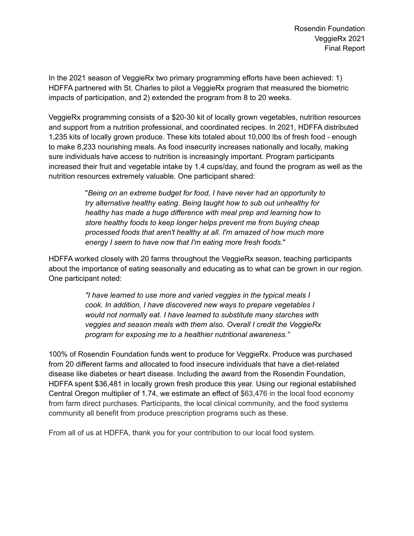In the 2021 season of VeggieRx two primary programming efforts have been achieved: 1) HDFFA partnered with St. Charles to pilot a VeggieRx program that measured the biometric impacts of participation, and 2) extended the program from 8 to 20 weeks.

VeggieRx programming consists of a \$20-30 kit of locally grown vegetables, nutrition resources and support from a nutrition professional, and coordinated recipes. In 2021, HDFFA distributed 1,235 kits of locally grown produce. These kits totaled about 10,000 lbs of fresh food - enough to make 8,233 nourishing meals. As food insecurity increases nationally and locally, making sure individuals have access to nutrition is increasingly important. Program participants increased their fruit and vegetable intake by 1.4 cups/day, and found the program as well as the nutrition resources extremely valuable. One participant shared:

> "*Being on an extreme budget for food, I have never had an opportunity to try alternative healthy eating. Being taught how to sub out unhealthy for healthy has made a huge difference with meal prep and learning how to store healthy foods to keep longer helps prevent me from buying cheap processed foods that aren't healthy at all. I'm amazed of how much more energy I seem to have now that I'm eating more fresh foods.*"

HDFFA worked closely with 20 farms throughout the VeggieRx season, teaching participants about the importance of eating seasonally and educating as to what can be grown in our region. One participant noted:

> *"I have learned to use more and varied veggies in the typical meals I cook. In addition, I have discovered new ways to prepare vegetables I would not normally eat. I have learned to substitute many starches with veggies and season meals with them also. Overall I credit the VeggieRx program for exposing me to a healthier nutritional awareness."*

100% of Rosendin Foundation funds went to produce for VeggieRx. Produce was purchased from 20 different farms and allocated to food insecure individuals that have a diet-related disease like diabetes or heart disease. Including the award from the Rosendin Foundation, HDFFA spent \$36,481 in locally grown fresh produce this year. Using our regional established Central Oregon multiplier of 1.74, we estimate an effect of \$63,476 in the local food economy from farm direct purchases. Participants, the local clinical community, and the food systems community all benefit from produce prescription programs such as these.

From all of us at HDFFA, thank you for your contribution to our local food system.